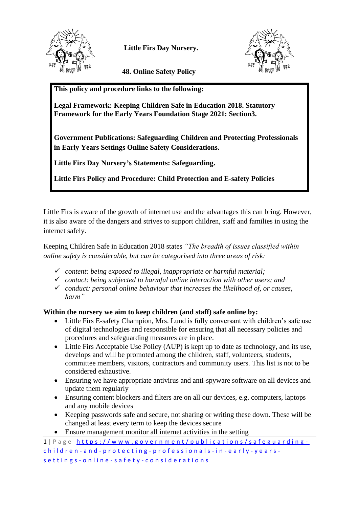

 **Little Firs Day Nursery.**

 **48. Online Safety Policy**



**This policy and procedure links to the following:**

**Legal Framework: Keeping Children Safe in Education 2018. Statutory Framework for the Early Years Foundation Stage 2021: Section3.**

**Government Publications: Safeguarding Children and Protecting Professionals in Early Years Settings Online Safety Considerations.**

**Little Firs Day Nursery's Statements: Safeguarding.**

**Little Firs Policy and Procedure: Child Protection and E-safety Policies**

Little Firs is aware of the growth of internet use and the advantages this can bring. However, it is also aware of the dangers and strives to support children, staff and families in using the internet safely.

Keeping Children Safe in Education 2018 states *"The breadth of issues classified within online safety is considerable, but can be categorised into three areas of risk:*

- ✓ *content: being exposed to illegal, inappropriate or harmful material;*
- ✓ *contact: being subjected to harmful online interaction with other users; and*
- ✓ *conduct: personal online behaviour that increases the likelihood of, or causes, harm"*

## **Within the nursery we aim to keep children (and staff) safe online by:**

- Little Firs E-safety Champion, Mrs. Lund is fully conversant with children's safe use of digital technologies and responsible for ensuring that all necessary policies and procedures and safeguarding measures are in place.
- Little Firs Acceptable Use Policy (AUP) is kept up to date as technology, and its use, develops and will be promoted among the children, staff, volunteers, students, committee members, visitors, contractors and community users. This list is not to be considered exhaustive.
- Ensuring we have appropriate antivirus and anti-spyware software on all devices and update them regularly
- Ensuring content blockers and filters are on all our devices, e.g. computers, laptops and any mobile devices
- Keeping passwords safe and secure, not sharing or writing these down. These will be changed at least every term to keep the devices secure
- Ensure management monitor all internet activities in the setting

1 | P a g e https://www.government/publications/safeguardingchildren - and - protecting - professionals - in - early - years s e t t i n g s - o n l i n e - s a f e t y - [c o n s i d e r a t i o n s](https://www.government/publications/safeguarding-children-and-protecting-professionals-in-early-years-settings-online-safety-considerations)